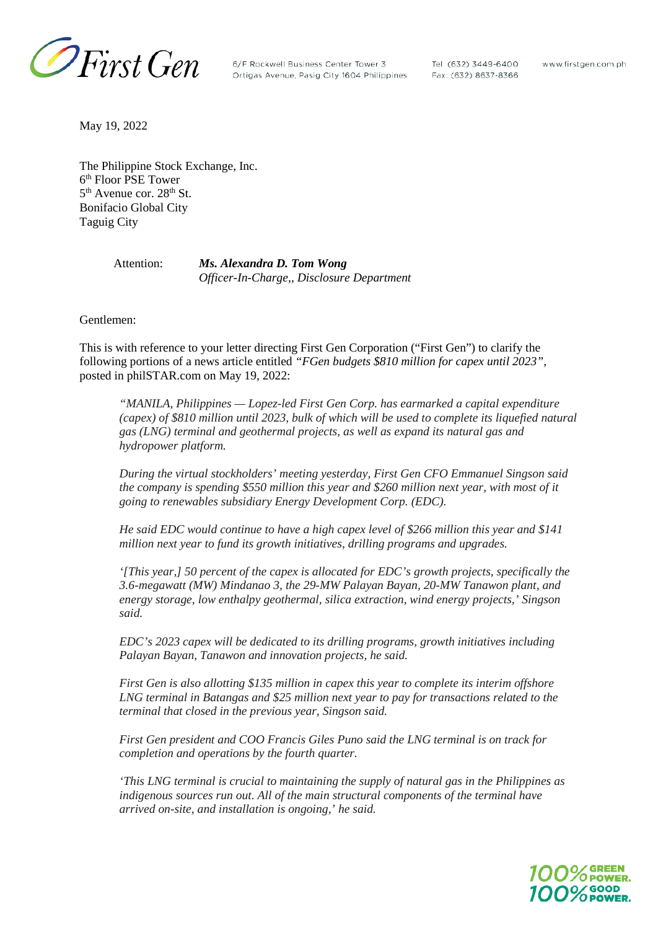

6/F Rockwell Business Center Tower 3 Ortigas Avenue, Pasig City 1604 Philippines Tel: (632) 3449-6400 Fax: (632) 8637-8366

www.firstgen.com.ph

May 19, 2022

The Philippine Stock Exchange, Inc. 6th Floor PSE Tower  $5<sup>th</sup>$  Avenue cor. 28<sup>th</sup> St. Bonifacio Global City Taguig City

> Attention: *Ms. Alexandra D. Tom Wong Officer-In-Charge,, Disclosure Department*

Gentlemen:

This is with reference to your letter directing First Gen Corporation ("First Gen") to clarify the following portions of a news article entitled *"FGen budgets \$810 million for capex until 2023",* posted in philSTAR.com on May 19, 2022:

*"MANILA, Philippines — Lopez-led First Gen Corp. has earmarked a capital expenditure (capex) of \$810 million until 2023, bulk of which will be used to complete its liquefied natural gas (LNG) terminal and geothermal projects, as well as expand its natural gas and hydropower platform.*

*During the virtual stockholders' meeting yesterday, First Gen CFO Emmanuel Singson said the company is spending \$550 million this year and \$260 million next year, with most of it going to renewables subsidiary Energy Development Corp. (EDC).*

*He said EDC would continue to have a high capex level of \$266 million this year and \$141 million next year to fund its growth initiatives, drilling programs and upgrades.*

*'[This year,] 50 percent of the capex is allocated for EDC's growth projects, specifically the 3.6-megawatt (MW) Mindanao 3, the 29-MW Palayan Bayan, 20-MW Tanawon plant, and energy storage, low enthalpy geothermal, silica extraction, wind energy projects,' Singson said.*

*EDC's 2023 capex will be dedicated to its drilling programs, growth initiatives including Palayan Bayan, Tanawon and innovation projects, he said.* 

*First Gen is also allotting \$135 million in capex this year to complete its interim offshore LNG terminal in Batangas and \$25 million next year to pay for transactions related to the terminal that closed in the previous year, Singson said.*

*First Gen president and COO Francis Giles Puno said the LNG terminal is on track for completion and operations by the fourth quarter.*

*'This LNG terminal is crucial to maintaining the supply of natural gas in the Philippines as indigenous sources run out. All of the main structural components of the terminal have arrived on-site, and installation is ongoing,' he said.*